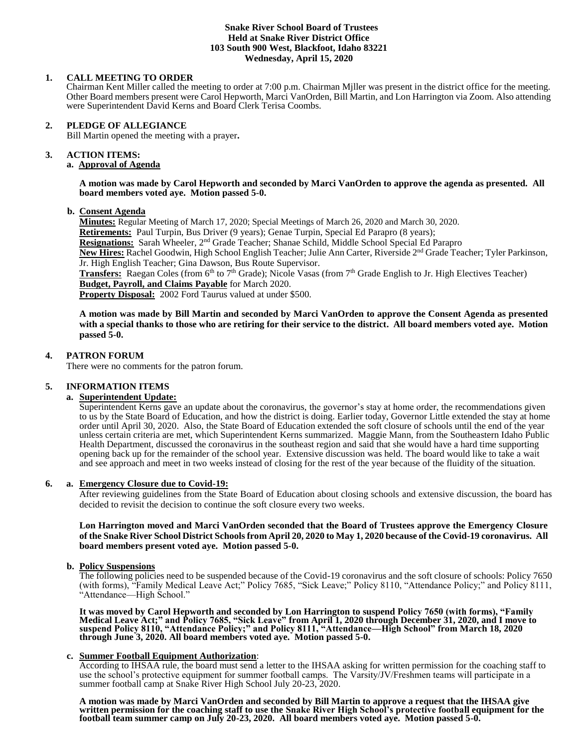#### **Snake River School Board of Trustees Held at Snake River District Office 103 South 900 West, Blackfoot, Idaho 83221 Wednesday, April 15, 2020**

### **1. CALL MEETING TO ORDER**

Chairman Kent Miller called the meeting to order at 7:00 p.m. Chairman Mjller was present in the district office for the meeting. Other Board members present were Carol Hepworth, Marci VanOrden, Bill Martin, and Lon Harrington via Zoom. Also attending were Superintendent David Kerns and Board Clerk Terisa Coombs.

### **2. PLEDGE OF ALLEGIANCE**

Bill Martin opened the meeting with a prayer**.** 

# **3. ACTION ITEMS:**

**a. Approval of Agenda**

**A motion was made by Carol Hepworth and seconded by Marci VanOrden to approve the agenda as presented. All board members voted aye. Motion passed 5-0.**

### **b. Consent Agenda**

**Minutes:** Regular Meeting of March 17, 2020; Special Meetings of March 26, 2020 and March 30, 2020. **Retirements:** Paul Turpin, Bus Driver (9 years); Genae Turpin, Special Ed Parapro (8 years); **Resignations:** Sarah Wheeler, 2nd Grade Teacher; Shanae Schild, Middle School Special Ed Parapro **New Hires:** Rachel Goodwin, High School English Teacher; Julie Ann Carter, Riverside 2nd Grade Teacher; Tyler Parkinson, Jr. High English Teacher; Gina Dawson, Bus Route Supervisor. **Transfers:** Raegan Coles (from 6<sup>th</sup> to 7<sup>th</sup> Grade); Nicole Vasas (from 7<sup>th</sup> Grade English to Jr. High Electives Teacher)

**Budget, Payroll, and Claims Payable** for March 2020.

**Property Disposal:** 2002 Ford Taurus valued at under \$500.

**A motion was made by Bill Martin and seconded by Marci VanOrden to approve the Consent Agenda as presented with a special thanks to those who are retiring for their service to the district. All board members voted aye. Motion passed 5-0.**

### **4. PATRON FORUM**

There were no comments for the patron forum.

### **5. INFORMATION ITEMS**

### **a. Superintendent Update:**

Superintendent Kerns gave an update about the coronavirus, the governor's stay at home order, the recommendations given to us by the State Board of Education, and how the district is doing. Earlier today, Governor Little extended the stay at home order until April 30, 2020. Also, the State Board of Education extended the soft closure of schools until the end of the year unless certain criteria are met, which Superintendent Kerns summarized. Maggie Mann, from the Southeastern Idaho Public Health Department, discussed the coronavirus in the southeast region and said that she would have a hard time supporting opening back up for the remainder of the school year. Extensive discussion was held. The board would like to take a wait and see approach and meet in two weeks instead of closing for the rest of the year because of the fluidity of the situation.

### **6. a. Emergency Closure due to Covid-19:**

After reviewing guidelines from the State Board of Education about closing schools and extensive discussion, the board has decided to revisit the decision to continue the soft closure every two weeks.

**Lon Harrington moved and Marci VanOrden seconded that the Board of Trustees approve the Emergency Closure of the Snake River School District Schools from April 20, 2020 to May 1, 2020 because of the Covid-19 coronavirus. All board members present voted aye. Motion passed 5-0.** 

### **b. Policy Suspensions**

The following policies need to be suspended because of the Covid-19 coronavirus and the soft closure of schools: Policy 7650 (with forms), "Family Medical Leave Act;" Policy 7685, "Sick Leave;" Policy 8110, "Attendance Policy;" and Policy 8111, "Attendance—High School."

**It was moved by Carol Hepworth and seconded by Lon Harrington to suspend Policy 7650 (with forms), "Family Medical Leave Act;" and Policy 7685, "Sick Leave" from April 1, 2020 through December 31, 2020, and I move to suspend Policy 8110, "Attendance Policy;" and Policy 8111, "Attendance—High School" from March 18, 2020 through June 3, 2020. All board members voted aye. Motion passed 5-0.**

### **c. Summer Football Equipment Authorization**:

According to IHSAA rule, the board must send a letter to the IHSAA asking for written permission for the coaching staff to use the school's protective equipment for summer football camps. The Varsity/JV/Freshmen teams will participate in a summer football camp at Snake River High School July 20-23, 2020.

**A motion was made by Marci VanOrden and seconded by Bill Martin to approve a request that the IHSAA give written permission for the coaching staff to use the Snake River High School's protective football equipment for the football team summer camp on July 20-23, 2020. All board members voted aye. Motion passed 5-0.**